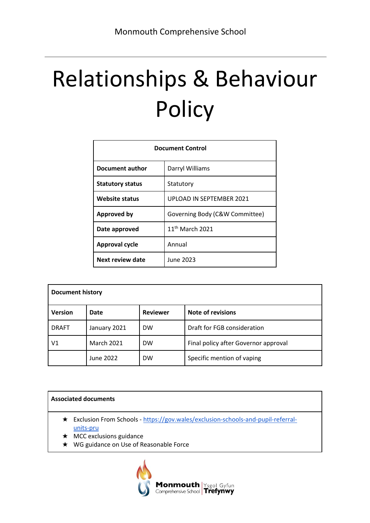# Relationships & Behaviour **Policy**

| <b>Document Control</b> |                                |  |
|-------------------------|--------------------------------|--|
| <b>Document author</b>  | Darryl Williams                |  |
| <b>Statutory status</b> | Statutory                      |  |
| <b>Website status</b>   | UPLOAD IN SEPTEMBER 2021       |  |
| <b>Approved by</b>      | Governing Body (C&W Committee) |  |
| Date approved           | $11th$ March 2021              |  |
| <b>Approval cycle</b>   | Annual                         |  |
| <b>Next review date</b> | June 2023                      |  |

| <b>Document history</b> |                   |                 |                                      |
|-------------------------|-------------------|-----------------|--------------------------------------|
| <b>Version</b>          | Date              | <b>Reviewer</b> | Note of revisions                    |
| <b>DRAFT</b>            | January 2021      | <b>DW</b>       | Draft for FGB consideration          |
| V1                      | <b>March 2021</b> | <b>DW</b>       | Final policy after Governor approval |
|                         | June 2022         | <b>DW</b>       | Specific mention of vaping           |

#### **Associated documents**

- ★ Exclusion From Schools [https://gov.wales/exclusion-schools-and-pupil-referral](https://gov.wales/exclusion-schools-and-pupil-referral-units-pru)[units-pru](https://gov.wales/exclusion-schools-and-pupil-referral-units-pru)
- ★ MCC exclusions guidance
- ★ WG guidance on Use of Reasonable Force

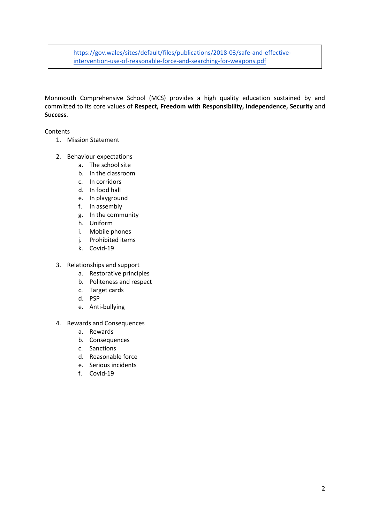[https://gov.wales/sites/default/files/publications/2018-03/safe-and-effective](https://gov.wales/sites/default/files/publications/2018-03/safe-and-effective-intervention-use-of-reasonable-force-and-searching-for-weapons.pdf)[intervention-use-of-reasonable-force-and-searching-for-weapons.pdf](https://gov.wales/sites/default/files/publications/2018-03/safe-and-effective-intervention-use-of-reasonable-force-and-searching-for-weapons.pdf)

Monmouth Comprehensive School (MCS) provides a high quality education sustained by and committed to its core values of **Respect, Freedom with Responsibility, Independence, Security** and **Success**.

Contents

- 1. Mission Statement
- 2. Behaviour expectations
	- a. The school site
	- b. In the classroom
	- c. In corridors
	- d. In food hall
	- e. In playground
	- f. In assembly
	- g. In the community
	- h. Uniform
	- i. Mobile phones
	- j. Prohibited items
	- k. Covid-19
- 3. Relationships and support
	- a. Restorative principles
	- b. Politeness and respect
	- c. Target cards
	- d. PSP
	- e. Anti-bullying
- 4. Rewards and Consequences
	- a. Rewards
	- b. Consequences
	- c. Sanctions
	- d. Reasonable force
	- e. Serious incidents
	- f. Covid-19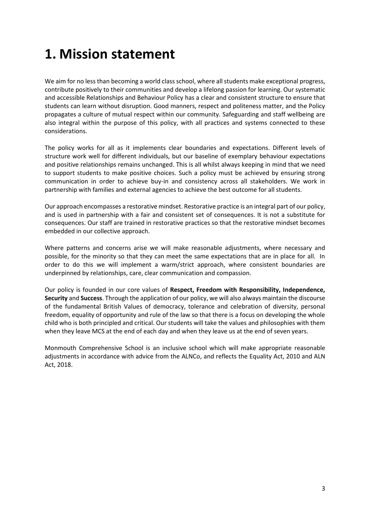# **1. Mission statement**

We aim for no less than becoming a world class school, where all students make exceptional progress, contribute positively to their communities and develop a lifelong passion for learning. Our systematic and accessible Relationships and Behaviour Policy has a clear and consistent structure to ensure that students can learn without disruption. Good manners, respect and politeness matter, and the Policy propagates a culture of mutual respect within our community. Safeguarding and staff wellbeing are also integral within the purpose of this policy, with all practices and systems connected to these considerations.

The policy works for all as it implements clear boundaries and expectations. Different levels of structure work well for different individuals, but our baseline of exemplary behaviour expectations and positive relationships remains unchanged. This is all whilst always keeping in mind that we need to support students to make positive choices. Such a policy must be achieved by ensuring strong communication in order to achieve buy-in and consistency across all stakeholders. We work in partnership with families and external agencies to achieve the best outcome for all students.

Our approach encompasses a restorative mindset. Restorative practice is an integral part of our policy, and is used in partnership with a fair and consistent set of consequences. It is not a substitute for consequences. Our staff are trained in restorative practices so that the restorative mindset becomes embedded in our collective approach.

Where patterns and concerns arise we will make reasonable adjustments, where necessary and possible, for the minority so that they can meet the same expectations that are in place for all. In order to do this we will implement a warm/strict approach, where consistent boundaries are underpinned by relationships, care, clear communication and compassion.

Our policy is founded in our core values of **Respect, Freedom with Responsibility, Independence, Security** and **Success**. Through the application of our policy, we will also always maintain the discourse of the fundamental British Values of democracy, tolerance and celebration of diversity, personal freedom, equality of opportunity and rule of the law so that there is a focus on developing the whole child who is both principled and critical. Our students will take the values and philosophies with them when they leave MCS at the end of each day and when they leave us at the end of seven years.

Monmouth Comprehensive School is an inclusive school which will make appropriate reasonable adjustments in accordance with advice from the ALNCo, and reflects the Equality Act, 2010 and ALN Act, 2018.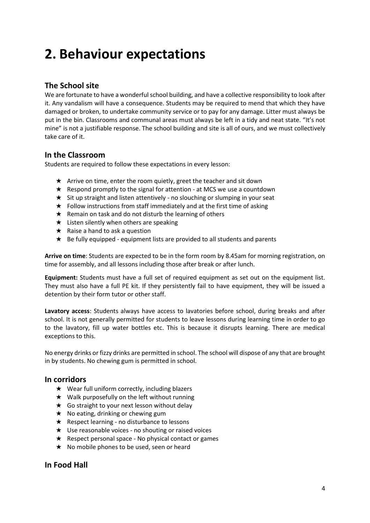# **2. Behaviour expectations**

# **The School site**

We are fortunate to have a wonderful school building, and have a collective responsibility to look after it. Any vandalism will have a consequence. Students may be required to mend that which they have damaged or broken, to undertake community service or to pay for any damage. Litter must always be put in the bin. Classrooms and communal areas must always be left in a tidy and neat state. "It's not mine" is not a justifiable response. The school building and site is all of ours, and we must collectively take care of it.

# **In the Classroom**

Students are required to follow these expectations in every lesson:

- $\star$  Arrive on time, enter the room quietly, greet the teacher and sit down
- ★ Respond promptly to the signal for attention at MCS we use a countdown
- ★ Sit up straight and listen attentively no slouching or slumping in your seat
- $\star$  Follow instructions from staff immediately and at the first time of asking
- $\star$  Remain on task and do not disturb the learning of others
- $\star$  Listen silently when others are speaking
- $\star$  Raise a hand to ask a question
- ★ Be fully equipped equipment lists are provided to all students and parents

**Arrive on time**: Students are expected to be in the form room by 8.45am for morning registration, on time for assembly, and all lessons including those after break or after lunch.

**Equipment:** Students must have a full set of required equipment as set out on the equipment list. They must also have a full PE kit. If they persistently fail to have equipment, they will be issued a detention by their form tutor or other staff.

**Lavatory access**: Students always have access to lavatories before school, during breaks and after school. It is not generally permitted for students to leave lessons during learning time in order to go to the lavatory, fill up water bottles etc. This is because it disrupts learning. There are medical exceptions to this.

No energy drinks or fizzy drinks are permitted in school. The school will dispose of any that are brought in by students. No chewing gum is permitted in school.

# **In corridors**

- ★ Wear full uniform correctly, including blazers
- ★ Walk purposefully on the left without running
- $\star$  Go straight to your next lesson without delay
- $\star$  No eating, drinking or chewing gum
- $\star$  Respect learning no disturbance to lessons
- ★ Use reasonable voices no shouting or raised voices
- $\star$  Respect personal space No physical contact or games
- ★ No mobile phones to be used, seen or heard

# **In Food Hall**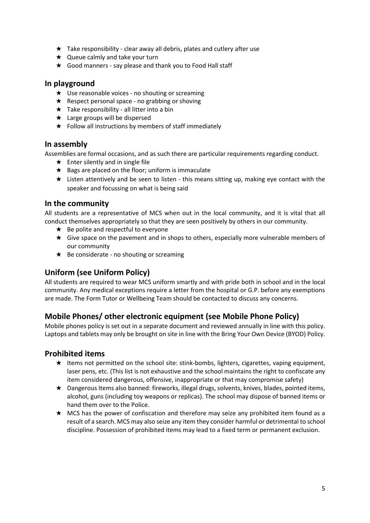- $\star$  Take responsibility clear away all debris, plates and cutlery after use
- ★ Queue calmly and take your turn
- ★ Good manners say please and thank you to Food Hall staff

### **In playground**

- $\star$  Use reasonable voices no shouting or screaming
- $\star$  Respect personal space no grabbing or shoving
- $\star$  Take responsibility all litter into a bin
- ★ Large groups will be dispersed
- $\star$  Follow all instructions by members of staff immediately

### **In assembly**

Assemblies are formal occasions, and as such there are particular requirements regarding conduct.

- $\star$  Enter silently and in single file
- $\star$  Bags are placed on the floor; uniform is immaculate
- ★ Listen attentively and be seen to listen this means sitting up, making eye contact with the speaker and focussing on what is being said

# **In the community**

All students are a representative of MCS when out in the local community, and it is vital that all conduct themselves appropriately so that they are seen positively by others in our community.

- $\star$  Be polite and respectful to everyone
- ★ Give space on the pavement and in shops to others, especially more vulnerable members of our community
- ★ Be considerate no shouting or screaming

# **Uniform (see Uniform Policy)**

All students are required to wear MCS uniform smartly and with pride both in school and in the local community. Any medical exceptions require a letter from the hospital or G.P. before any exemptions are made. The Form Tutor or Wellbeing Team should be contacted to discuss any concerns.

# **Mobile Phones/ other electronic equipment (see Mobile Phone Policy)**

Mobile phones policy is set out in a separate document and reviewed annually in line with this policy. Laptops and tablets may only be brought on site in line with the Bring Your Own Device (BYOD) Policy.

# **Prohibited items**

- ★ Items not permitted on the school site: stink‐bombs, lighters, cigarettes, vaping equipment, laser pens, etc. (This list is not exhaustive and the school maintains the right to confiscate any item considered dangerous, offensive, inappropriate or that may compromise safety)
- ★ Dangerous Items also banned: fireworks, illegal drugs, solvents, knives, blades, pointed items, alcohol, guns (including toy weapons or replicas). The school may dispose of banned items or hand them over to the Police.
- ★ MCS has the power of confiscation and therefore may seize any prohibited item found as a result of a search. MCS may also seize any item they consider harmful or detrimental to school discipline. Possession of prohibited items may lead to a fixed term or permanent exclusion.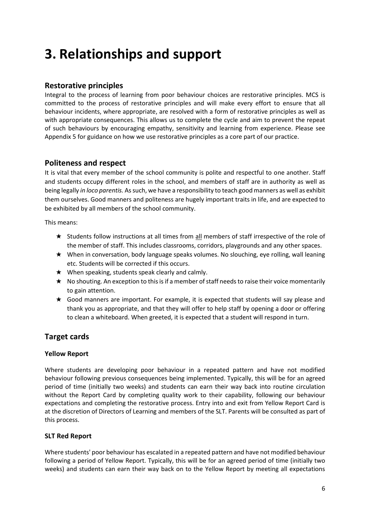# **3. Relationships and support**

# **Restorative principles**

Integral to the process of learning from poor behaviour choices are restorative principles. MCS is committed to the process of restorative principles and will make every effort to ensure that all behaviour incidents, where appropriate, are resolved with a form of restorative principles as well as with appropriate consequences. This allows us to complete the cycle and aim to prevent the repeat of such behaviours by encouraging empathy, sensitivity and learning from experience. Please see Appendix 5 for guidance on how we use restorative principles as a core part of our practice.

# **Politeness and respect**

It is vital that every member of the school community is polite and respectful to one another. Staff and students occupy different roles in the school, and members of staff are in authority as well as being legally *in loco parentis.* As such, we have a responsibility to teach good manners as well as exhibit them ourselves. Good manners and politeness are hugely important traits in life, and are expected to be exhibited by all members of the school community.

This means:

- ★ Students follow instructions at all times from all members of staff irrespective of the role of the member of staff. This includes classrooms, corridors, playgrounds and any other spaces.
- ★ When in conversation, body language speaks volumes. No slouching, eye rolling, wall leaning etc. Students will be corrected if this occurs.
- $\star$  When speaking, students speak clearly and calmly.
- ★ No shouting. An exception to this is if a member of staff needs to raise their voice momentarily to gain attention.
- ★ Good manners are important. For example, it is expected that students will say please and thank you as appropriate, and that they will offer to help staff by opening a door or offering to clean a whiteboard. When greeted, it is expected that a student will respond in turn.

# **Target cards**

# **Yellow Report**

Where students are developing poor behaviour in a repeated pattern and have not modified behaviour following previous consequences being implemented. Typically, this will be for an agreed period of time (initially two weeks) and students can earn their way back into routine circulation without the Report Card by completing quality work to their capability, following our behaviour expectations and completing the restorative process. Entry into and exit from Yellow Report Card is at the discretion of Directors of Learning and members of the SLT. Parents will be consulted as part of this process.

# **SLT Red Report**

Where students' poor behaviour has escalated in a repeated pattern and have not modified behaviour following a period of Yellow Report. Typically, this will be for an agreed period of time (initially two weeks) and students can earn their way back on to the Yellow Report by meeting all expectations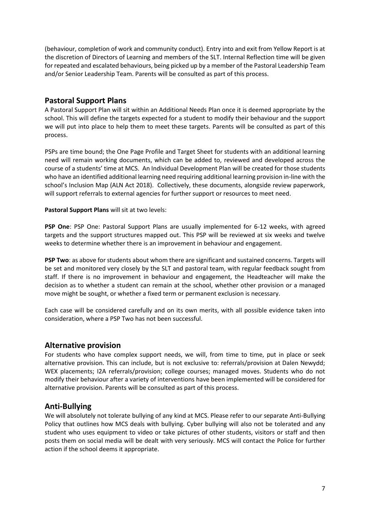(behaviour, completion of work and community conduct). Entry into and exit from Yellow Report is at the discretion of Directors of Learning and members of the SLT. Internal Reflection time will be given for repeated and escalated behaviours, being picked up by a member of the Pastoral Leadership Team and/or Senior Leadership Team. Parents will be consulted as part of this process.

# **Pastoral Support Plans**

A Pastoral Support Plan will sit within an Additional Needs Plan once it is deemed appropriate by the school. This will define the targets expected for a student to modify their behaviour and the support we will put into place to help them to meet these targets. Parents will be consulted as part of this process.

PSPs are time bound; the One Page Profile and Target Sheet for students with an additional learning need will remain working documents, which can be added to, reviewed and developed across the course of a students' time at MCS. An Individual Development Plan will be created for those students who have an identified additional learning need requiring additional learning provision in-line with the school's Inclusion Map (ALN Act 2018). Collectively, these documents, alongside review paperwork, will support referrals to external agencies for further support or resources to meet need.

#### **Pastoral Support Plans** will sit at two levels:

**PSP One**: PSP One: Pastoral Support Plans are usually implemented for 6-12 weeks, with agreed targets and the support structures mapped out. This PSP will be reviewed at six weeks and twelve weeks to determine whether there is an improvement in behaviour and engagement.

**PSP Two**: as above for students about whom there are significant and sustained concerns. Targets will be set and monitored very closely by the SLT and pastoral team, with regular feedback sought from staff. If there is no improvement in behaviour and engagement, the Headteacher will make the decision as to whether a student can remain at the school, whether other provision or a managed move might be sought, or whether a fixed term or permanent exclusion is necessary.

Each case will be considered carefully and on its own merits, with all possible evidence taken into consideration, where a PSP Two has not been successful.

# **Alternative provision**

For students who have complex support needs, we will, from time to time, put in place or seek alternative provision. This can include, but is not exclusive to: referrals/provision at Dalen Newydd; WEX placements; I2A referrals/provision; college courses; managed moves. Students who do not modify their behaviour after a variety of interventions have been implemented will be considered for alternative provision. Parents will be consulted as part of this process.

# **Anti-Bullying**

We will absolutely not tolerate bullying of any kind at MCS. Please refer to our separate Anti-Bullying Policy that outlines how MCS deals with bullying. Cyber bullying will also not be tolerated and any student who uses equipment to video or take pictures of other students, visitors or staff and then posts them on social media will be dealt with very seriously. MCS will contact the Police for further action if the school deems it appropriate.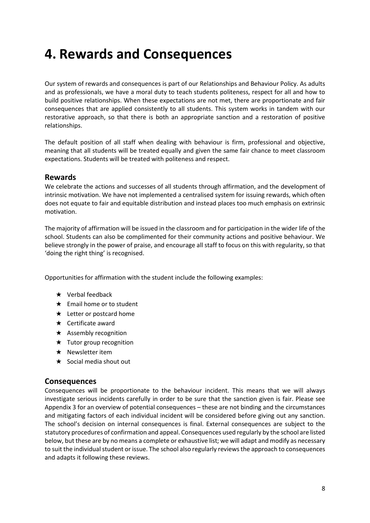# **4. Rewards and Consequences**

Our system of rewards and consequences is part of our Relationships and Behaviour Policy. As adults and as professionals, we have a moral duty to teach students politeness, respect for all and how to build positive relationships. When these expectations are not met, there are proportionate and fair consequences that are applied consistently to all students. This system works in tandem with our restorative approach, so that there is both an appropriate sanction and a restoration of positive relationships.

The default position of all staff when dealing with behaviour is firm, professional and objective, meaning that all students will be treated equally and given the same fair chance to meet classroom expectations. Students will be treated with politeness and respect.

# **Rewards**

We celebrate the actions and successes of all students through affirmation, and the development of intrinsic motivation. We have not implemented a centralised system for issuing rewards, which often does not equate to fair and equitable distribution and instead places too much emphasis on extrinsic motivation.

The majority of affirmation will be issued in the classroom and for participation in the wider life of the school. Students can also be complimented for their community actions and positive behaviour. We believe strongly in the power of praise, and encourage all staff to focus on this with regularity, so that 'doing the right thing' is recognised.

Opportunities for affirmation with the student include the following examples:

- $\star$  Verbal feedback
- ★ Email home or to student
- $\star$  Letter or postcard home
- ★ Certificate award
- ★ Assembly recognition
- ★ Tutor group recognition
- ★ Newsletter item
- ★ Social media shout out

# **Consequences**

Consequences will be proportionate to the behaviour incident. This means that we will always investigate serious incidents carefully in order to be sure that the sanction given is fair. Please see Appendix 3 for an overview of potential consequences – these are not binding and the circumstances and mitigating factors of each individual incident will be considered before giving out any sanction. The school's decision on internal consequences is final. External consequences are subject to the statutory procedures of confirmation and appeal. Consequences used regularly by the school are listed below, but these are by no means a complete or exhaustive list; we will adapt and modify as necessary to suit the individual student or issue. The school also regularly reviews the approach to consequences and adapts it following these reviews.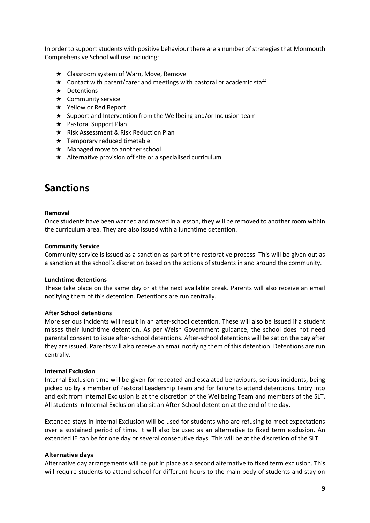In order to support students with positive behaviour there are a number of strategies that Monmouth Comprehensive School will use including:

- ★ Classroom system of Warn, Move, Remove
- ★ Contact with parent/carer and meetings with pastoral or academic staff
- ★ Detentions
- ★ Community service
- ★ Yellow or Red Report
- ★ Support and Intervention from the Wellbeing and/or Inclusion team
- ★ Pastoral Support Plan
- ★ Risk Assessment & Risk Reduction Plan
- $\star$  Temporary reduced timetable
- ★ Managed move to another school
- $\star$  Alternative provision off site or a specialised curriculum

# **Sanctions**

#### **Removal**

Once students have been warned and moved in a lesson, they will be removed to another room within the curriculum area. They are also issued with a lunchtime detention.

#### **Community Service**

Community service is issued as a sanction as part of the restorative process. This will be given out as a sanction at the school's discretion based on the actions of students in and around the community.

#### **Lunchtime detentions**

These take place on the same day or at the next available break. Parents will also receive an email notifying them of this detention. Detentions are run centrally.

#### **After School detentions**

More serious incidents will result in an after-school detention. These will also be issued if a student misses their lunchtime detention. As per Welsh Government guidance, the school does not need parental consent to issue after-school detentions. After-school detentions will be sat on the day after they are issued. Parents will also receive an email notifying them of this detention. Detentions are run centrally.

#### **Internal Exclusion**

Internal Exclusion time will be given for repeated and escalated behaviours, serious incidents, being picked up by a member of Pastoral Leadership Team and for failure to attend detentions. Entry into and exit from Internal Exclusion is at the discretion of the Wellbeing Team and members of the SLT. All students in Internal Exclusion also sit an After-School detention at the end of the day.

Extended stays in Internal Exclusion will be used for students who are refusing to meet expectations over a sustained period of time. It will also be used as an alternative to fixed term exclusion. An extended IE can be for one day or several consecutive days. This will be at the discretion of the SLT.

#### **Alternative days**

Alternative day arrangements will be put in place as a second alternative to fixed term exclusion. This will require students to attend school for different hours to the main body of students and stay on